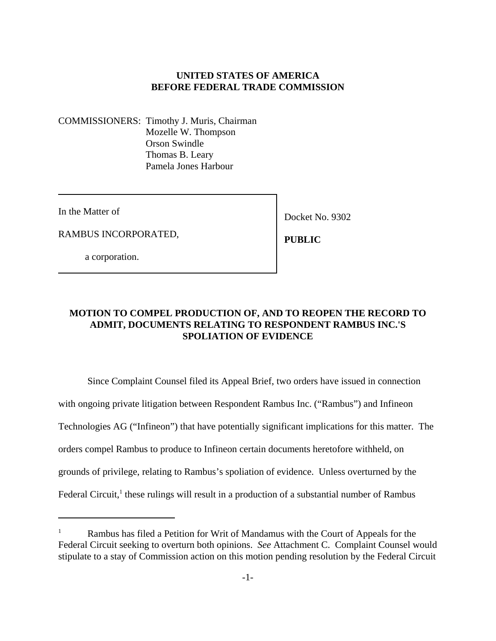### **UNITED STATES OF AMERICA BEFORE FEDERAL TRADE COMMISSION**

COMMISSIONERS: Timothy J. Muris, Chairman Mozelle W. Thompson Orson Swindle Thomas B. Leary Pamela Jones Harbour

In the Matter of

Docket No. 9302

RAMBUS INCORPORATED,

a corporation.

 **PUBLIC**

## **MOTION TO COMPEL PRODUCTION OF, AND TO REOPEN THE RECORD TO ADMIT, DOCUMENTS RELATING TO RESPONDENT RAMBUS INC.'S SPOLIATION OF EVIDENCE**

Since Complaint Counsel filed its Appeal Brief, two orders have issued in connection with ongoing private litigation between Respondent Rambus Inc. ("Rambus") and Infineon Technologies AG ("Infineon") that have potentially significant implications for this matter. The orders compel Rambus to produce to Infineon certain documents heretofore withheld, on grounds of privilege, relating to Rambus's spoliation of evidence. Unless overturned by the Federal Circuit,<sup>1</sup> these rulings will result in a production of a substantial number of Rambus

Rambus has filed a Petition for Writ of Mandamus with the Court of Appeals for the Federal Circuit seeking to overturn both opinions. *See* Attachment C. Complaint Counsel would stipulate to a stay of Commission action on this motion pending resolution by the Federal Circuit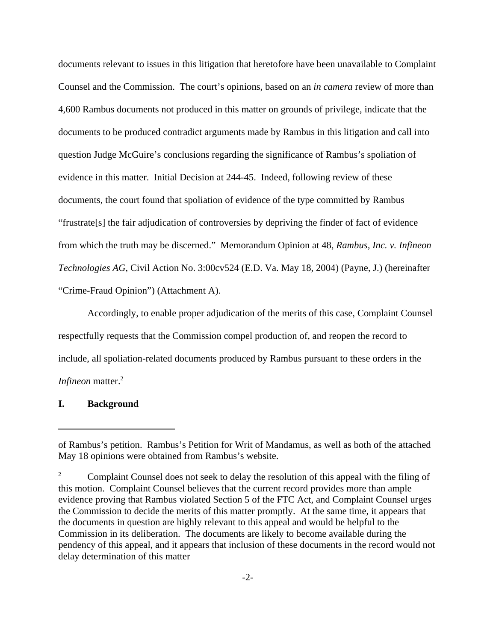documents relevant to issues in this litigation that heretofore have been unavailable to Complaint Counsel and the Commission. The court's opinions, based on an *in camera* review of more than 4,600 Rambus documents not produced in this matter on grounds of privilege, indicate that the documents to be produced contradict arguments made by Rambus in this litigation and call into question Judge McGuire's conclusions regarding the significance of Rambus's spoliation of evidence in this matter. Initial Decision at 244-45. Indeed, following review of these documents, the court found that spoliation of evidence of the type committed by Rambus "frustrate[s] the fair adjudication of controversies by depriving the finder of fact of evidence from which the truth may be discerned." Memorandum Opinion at 48, *Rambus, Inc. v. Infineon Technologies AG*, Civil Action No. 3:00cv524 (E.D. Va. May 18, 2004) (Payne, J.) (hereinafter "Crime-Fraud Opinion") (Attachment A).

Accordingly, to enable proper adjudication of the merits of this case, Complaint Counsel respectfully requests that the Commission compel production of, and reopen the record to include, all spoliation-related documents produced by Rambus pursuant to these orders in the *Infineon* matter.<sup>2</sup>

#### **I. Background**

of Rambus's petition. Rambus's Petition for Writ of Mandamus, as well as both of the attached May 18 opinions were obtained from Rambus's website.

<sup>2</sup> Complaint Counsel does not seek to delay the resolution of this appeal with the filing of this motion. Complaint Counsel believes that the current record provides more than ample evidence proving that Rambus violated Section 5 of the FTC Act, and Complaint Counsel urges the Commission to decide the merits of this matter promptly. At the same time, it appears that the documents in question are highly relevant to this appeal and would be helpful to the Commission in its deliberation. The documents are likely to become available during the pendency of this appeal, and it appears that inclusion of these documents in the record would not delay determination of this matter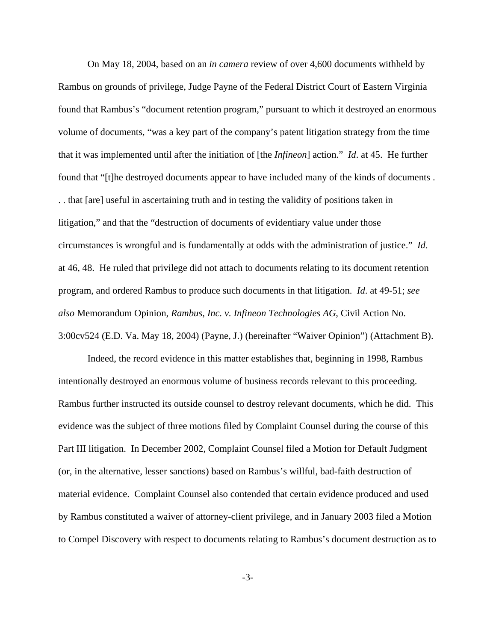On May 18, 2004, based on an *in camera* review of over 4,600 documents withheld by Rambus on grounds of privilege, Judge Payne of the Federal District Court of Eastern Virginia found that Rambus's "document retention program," pursuant to which it destroyed an enormous volume of documents, "was a key part of the company's patent litigation strategy from the time that it was implemented until after the initiation of [the *Infineon*] action." *Id*. at 45. He further found that "[t]he destroyed documents appear to have included many of the kinds of documents . . . that [are] useful in ascertaining truth and in testing the validity of positions taken in litigation," and that the "destruction of documents of evidentiary value under those circumstances is wrongful and is fundamentally at odds with the administration of justice." *Id*. at 46, 48. He ruled that privilege did not attach to documents relating to its document retention program, and ordered Rambus to produce such documents in that litigation. *Id*. at 49-51; *see also* Memorandum Opinion, *Rambus, Inc. v. Infineon Technologies AG*, Civil Action No. 3:00cv524 (E.D. Va. May 18, 2004) (Payne, J.) (hereinafter "Waiver Opinion") (Attachment B).

Indeed, the record evidence in this matter establishes that, beginning in 1998, Rambus intentionally destroyed an enormous volume of business records relevant to this proceeding. Rambus further instructed its outside counsel to destroy relevant documents, which he did. This evidence was the subject of three motions filed by Complaint Counsel during the course of this Part III litigation. In December 2002, Complaint Counsel filed a Motion for Default Judgment (or, in the alternative, lesser sanctions) based on Rambus's willful, bad-faith destruction of material evidence. Complaint Counsel also contended that certain evidence produced and used by Rambus constituted a waiver of attorney-client privilege, and in January 2003 filed a Motion to Compel Discovery with respect to documents relating to Rambus's document destruction as to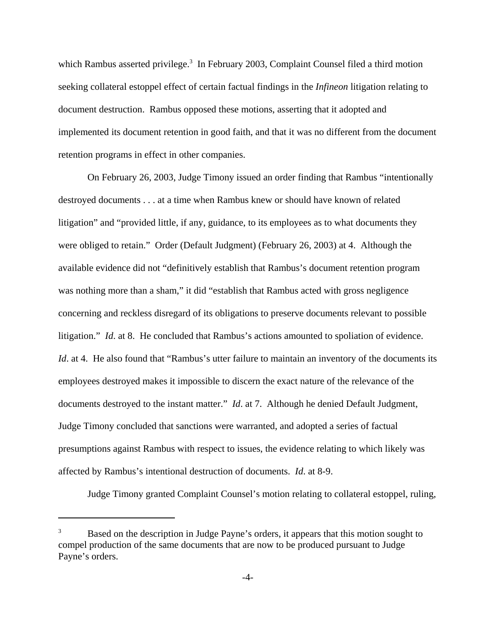which Rambus asserted privilege.<sup>3</sup> In February 2003, Complaint Counsel filed a third motion seeking collateral estoppel effect of certain factual findings in the *Infineon* litigation relating to document destruction. Rambus opposed these motions, asserting that it adopted and implemented its document retention in good faith, and that it was no different from the document retention programs in effect in other companies.

On February 26, 2003, Judge Timony issued an order finding that Rambus "intentionally destroyed documents . . . at a time when Rambus knew or should have known of related litigation" and "provided little, if any, guidance, to its employees as to what documents they were obliged to retain." Order (Default Judgment) (February 26, 2003) at 4. Although the available evidence did not "definitively establish that Rambus's document retention program was nothing more than a sham," it did "establish that Rambus acted with gross negligence concerning and reckless disregard of its obligations to preserve documents relevant to possible litigation." *Id*. at 8. He concluded that Rambus's actions amounted to spoliation of evidence. *Id.* at 4. He also found that "Rambus's utter failure to maintain an inventory of the documents its employees destroyed makes it impossible to discern the exact nature of the relevance of the documents destroyed to the instant matter." *Id*. at 7. Although he denied Default Judgment, Judge Timony concluded that sanctions were warranted, and adopted a series of factual presumptions against Rambus with respect to issues, the evidence relating to which likely was affected by Rambus's intentional destruction of documents. *Id*. at 8-9.

Judge Timony granted Complaint Counsel's motion relating to collateral estoppel, ruling,

<sup>&</sup>lt;sup>3</sup> Based on the description in Judge Payne's orders, it appears that this motion sought to compel production of the same documents that are now to be produced pursuant to Judge Payne's orders.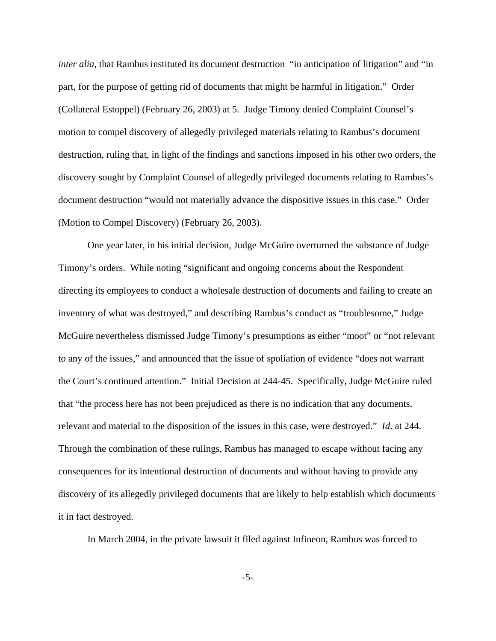*inter alia*, that Rambus instituted its document destruction "in anticipation of litigation" and "in part, for the purpose of getting rid of documents that might be harmful in litigation." Order (Collateral Estoppel) (February 26, 2003) at 5. Judge Timony denied Complaint Counsel's motion to compel discovery of allegedly privileged materials relating to Rambus's document destruction, ruling that, in light of the findings and sanctions imposed in his other two orders, the discovery sought by Complaint Counsel of allegedly privileged documents relating to Rambus's document destruction "would not materially advance the dispositive issues in this case." Order (Motion to Compel Discovery) (February 26, 2003).

One year later, in his initial decision, Judge McGuire overturned the substance of Judge Timony's orders. While noting "significant and ongoing concerns about the Respondent directing its employees to conduct a wholesale destruction of documents and failing to create an inventory of what was destroyed," and describing Rambus's conduct as "troublesome," Judge McGuire nevertheless dismissed Judge Timony's presumptions as either "moot" or "not relevant to any of the issues," and announced that the issue of spoliation of evidence "does not warrant the Court's continued attention." Initial Decision at 244-45. Specifically, Judge McGuire ruled that "the process here has not been prejudiced as there is no indication that any documents, relevant and material to the disposition of the issues in this case, were destroyed." *Id*. at 244. Through the combination of these rulings, Rambus has managed to escape without facing any consequences for its intentional destruction of documents and without having to provide any discovery of its allegedly privileged documents that are likely to help establish which documents it in fact destroyed.

In March 2004, in the private lawsuit it filed against Infineon, Rambus was forced to

-5-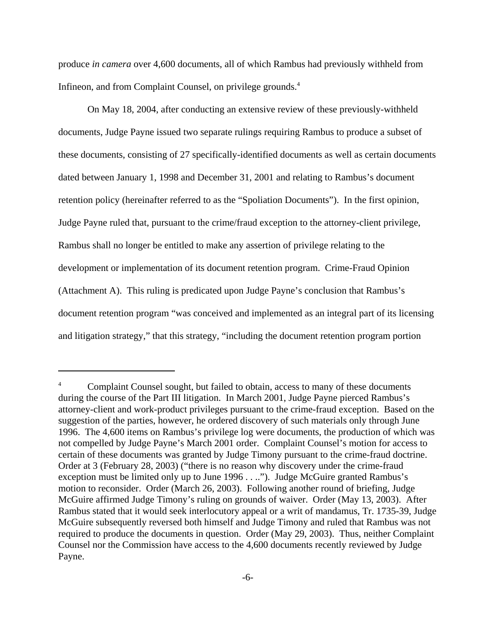produce *in camera* over 4,600 documents, all of which Rambus had previously withheld from Infineon, and from Complaint Counsel, on privilege grounds.<sup>4</sup>

On May 18, 2004, after conducting an extensive review of these previously-withheld documents, Judge Payne issued two separate rulings requiring Rambus to produce a subset of these documents, consisting of 27 specifically-identified documents as well as certain documents dated between January 1, 1998 and December 31, 2001 and relating to Rambus's document retention policy (hereinafter referred to as the "Spoliation Documents"). In the first opinion, Judge Payne ruled that, pursuant to the crime/fraud exception to the attorney-client privilege, Rambus shall no longer be entitled to make any assertion of privilege relating to the development or implementation of its document retention program. Crime-Fraud Opinion (Attachment A). This ruling is predicated upon Judge Payne's conclusion that Rambus's document retention program "was conceived and implemented as an integral part of its licensing and litigation strategy," that this strategy, "including the document retention program portion

<sup>&</sup>lt;sup>4</sup> Complaint Counsel sought, but failed to obtain, access to many of these documents during the course of the Part III litigation. In March 2001, Judge Payne pierced Rambus's attorney-client and work-product privileges pursuant to the crime-fraud exception. Based on the suggestion of the parties, however, he ordered discovery of such materials only through June 1996. The 4,600 items on Rambus's privilege log were documents, the production of which was not compelled by Judge Payne's March 2001 order. Complaint Counsel's motion for access to certain of these documents was granted by Judge Timony pursuant to the crime-fraud doctrine. Order at 3 (February 28, 2003) ("there is no reason why discovery under the crime-fraud exception must be limited only up to June 1996 . . .."). Judge McGuire granted Rambus's motion to reconsider. Order (March 26, 2003). Following another round of briefing, Judge McGuire affirmed Judge Timony's ruling on grounds of waiver. Order (May 13, 2003). After Rambus stated that it would seek interlocutory appeal or a writ of mandamus, Tr. 1735-39, Judge McGuire subsequently reversed both himself and Judge Timony and ruled that Rambus was not required to produce the documents in question. Order (May 29, 2003). Thus, neither Complaint Counsel nor the Commission have access to the 4,600 documents recently reviewed by Judge Payne.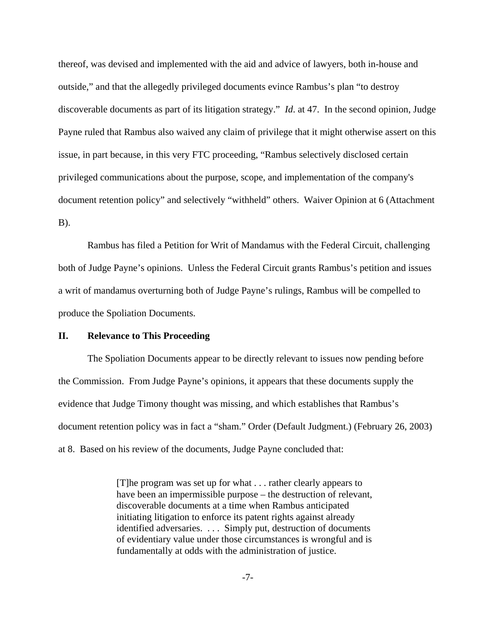thereof, was devised and implemented with the aid and advice of lawyers, both in-house and outside," and that the allegedly privileged documents evince Rambus's plan "to destroy discoverable documents as part of its litigation strategy." *Id*. at 47. In the second opinion, Judge Payne ruled that Rambus also waived any claim of privilege that it might otherwise assert on this issue, in part because, in this very FTC proceeding, "Rambus selectively disclosed certain privileged communications about the purpose, scope, and implementation of the company's document retention policy" and selectively "withheld" others. Waiver Opinion at 6 (Attachment B).

Rambus has filed a Petition for Writ of Mandamus with the Federal Circuit, challenging both of Judge Payne's opinions. Unless the Federal Circuit grants Rambus's petition and issues a writ of mandamus overturning both of Judge Payne's rulings, Rambus will be compelled to produce the Spoliation Documents.

### **II. Relevance to This Proceeding**

The Spoliation Documents appear to be directly relevant to issues now pending before the Commission. From Judge Payne's opinions, it appears that these documents supply the evidence that Judge Timony thought was missing, and which establishes that Rambus's document retention policy was in fact a "sham." Order (Default Judgment.) (February 26, 2003) at 8. Based on his review of the documents, Judge Payne concluded that:

> [T]he program was set up for what . . . rather clearly appears to have been an impermissible purpose – the destruction of relevant, discoverable documents at a time when Rambus anticipated initiating litigation to enforce its patent rights against already identified adversaries. . . . Simply put, destruction of documents of evidentiary value under those circumstances is wrongful and is fundamentally at odds with the administration of justice.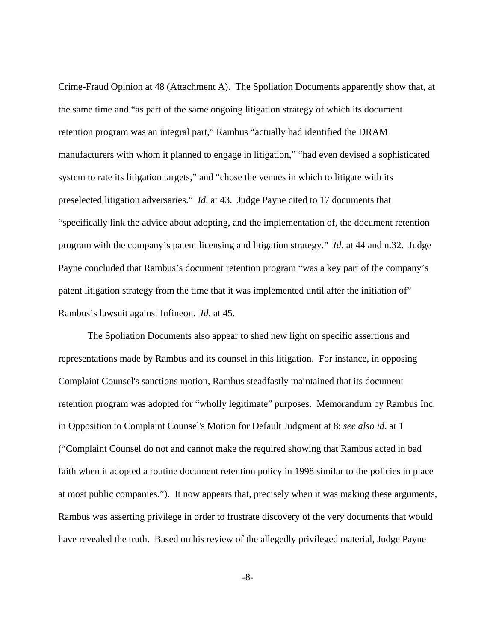Crime-Fraud Opinion at 48 (Attachment A). The Spoliation Documents apparently show that, at the same time and "as part of the same ongoing litigation strategy of which its document retention program was an integral part," Rambus "actually had identified the DRAM manufacturers with whom it planned to engage in litigation," "had even devised a sophisticated system to rate its litigation targets," and "chose the venues in which to litigate with its preselected litigation adversaries." *Id*. at 43. Judge Payne cited to 17 documents that "specifically link the advice about adopting, and the implementation of, the document retention program with the company's patent licensing and litigation strategy." *Id*. at 44 and n.32. Judge Payne concluded that Rambus's document retention program "was a key part of the company's patent litigation strategy from the time that it was implemented until after the initiation of" Rambus's lawsuit against Infineon. *Id*. at 45.

The Spoliation Documents also appear to shed new light on specific assertions and representations made by Rambus and its counsel in this litigation. For instance, in opposing Complaint Counsel's sanctions motion, Rambus steadfastly maintained that its document retention program was adopted for "wholly legitimate" purposes. Memorandum by Rambus Inc. in Opposition to Complaint Counsel's Motion for Default Judgment at 8; *see also id*. at 1 ("Complaint Counsel do not and cannot make the required showing that Rambus acted in bad faith when it adopted a routine document retention policy in 1998 similar to the policies in place at most public companies."). It now appears that, precisely when it was making these arguments, Rambus was asserting privilege in order to frustrate discovery of the very documents that would have revealed the truth. Based on his review of the allegedly privileged material, Judge Payne

-8-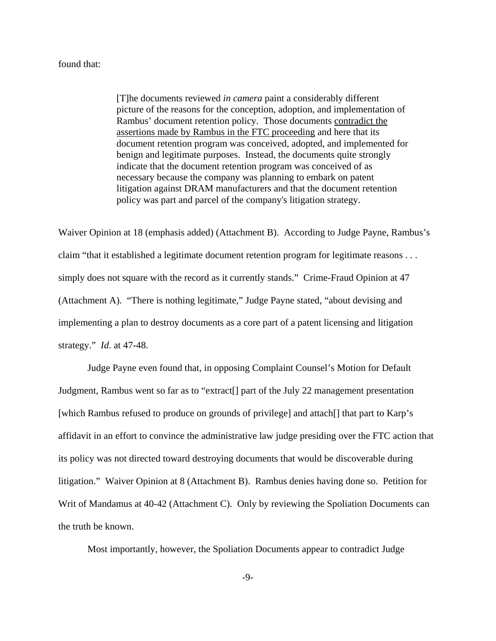### found that:

[T]he documents reviewed *in camera* paint a considerably different picture of the reasons for the conception, adoption, and implementation of Rambus' document retention policy. Those documents contradict the assertions made by Rambus in the FTC proceeding and here that its document retention program was conceived, adopted, and implemented for benign and legitimate purposes. Instead, the documents quite strongly indicate that the document retention program was conceived of as necessary because the company was planning to embark on patent litigation against DRAM manufacturers and that the document retention policy was part and parcel of the company's litigation strategy.

Waiver Opinion at 18 (emphasis added) (Attachment B). According to Judge Payne, Rambus's claim "that it established a legitimate document retention program for legitimate reasons . . . simply does not square with the record as it currently stands." Crime-Fraud Opinion at 47 (Attachment A). "There is nothing legitimate," Judge Payne stated, "about devising and implementing a plan to destroy documents as a core part of a patent licensing and litigation strategy." *Id*. at 47-48.

Judge Payne even found that, in opposing Complaint Counsel's Motion for Default Judgment, Rambus went so far as to "extract[] part of the July 22 management presentation [which Rambus refused to produce on grounds of privilege] and attach<sup>[]</sup> that part to Karp's affidavit in an effort to convince the administrative law judge presiding over the FTC action that its policy was not directed toward destroying documents that would be discoverable during litigation." Waiver Opinion at 8 (Attachment B). Rambus denies having done so. Petition for Writ of Mandamus at 40-42 (Attachment C). Only by reviewing the Spoliation Documents can the truth be known.

Most importantly, however, the Spoliation Documents appear to contradict Judge

-9-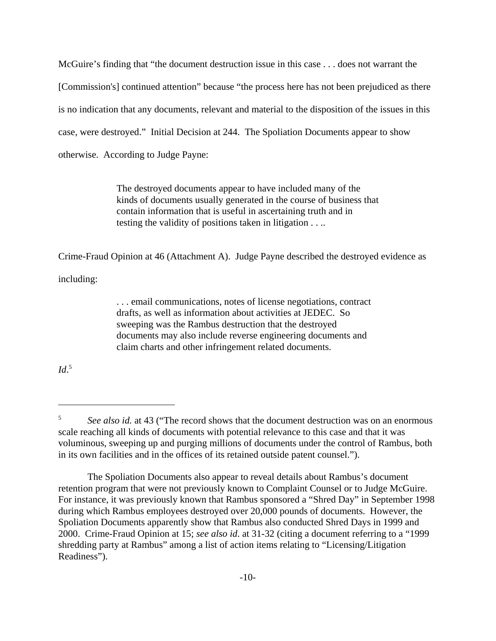McGuire's finding that "the document destruction issue in this case . . . does not warrant the [Commission's] continued attention" because "the process here has not been prejudiced as there is no indication that any documents, relevant and material to the disposition of the issues in this case, were destroyed." Initial Decision at 244. The Spoliation Documents appear to show otherwise. According to Judge Payne:

> The destroyed documents appear to have included many of the kinds of documents usually generated in the course of business that contain information that is useful in ascertaining truth and in testing the validity of positions taken in litigation . . ..

Crime-Fraud Opinion at 46 (Attachment A). Judge Payne described the destroyed evidence as

including:

. . . email communications, notes of license negotiations, contract drafts, as well as information about activities at JEDEC. So sweeping was the Rambus destruction that the destroyed documents may also include reverse engineering documents and claim charts and other infringement related documents.

*Id*. 5

<sup>5</sup> *See also id.* at 43 ("The record shows that the document destruction was on an enormous scale reaching all kinds of documents with potential relevance to this case and that it was voluminous, sweeping up and purging millions of documents under the control of Rambus, both in its own facilities and in the offices of its retained outside patent counsel.").

The Spoliation Documents also appear to reveal details about Rambus's document retention program that were not previously known to Complaint Counsel or to Judge McGuire. For instance, it was previously known that Rambus sponsored a "Shred Day" in September 1998 during which Rambus employees destroyed over 20,000 pounds of documents. However, the Spoliation Documents apparently show that Rambus also conducted Shred Days in 1999 and 2000. Crime-Fraud Opinion at 15; *see also id*. at 31-32 (citing a document referring to a "1999 shredding party at Rambus" among a list of action items relating to "Licensing/Litigation Readiness").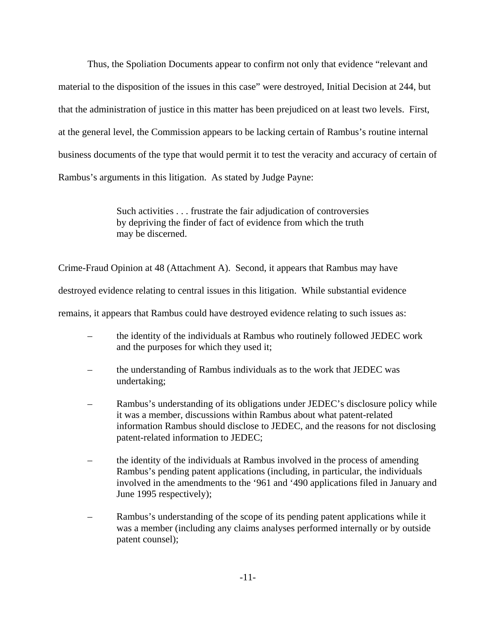Thus, the Spoliation Documents appear to confirm not only that evidence "relevant and material to the disposition of the issues in this case" were destroyed, Initial Decision at 244, but that the administration of justice in this matter has been prejudiced on at least two levels. First, at the general level, the Commission appears to be lacking certain of Rambus's routine internal business documents of the type that would permit it to test the veracity and accuracy of certain of Rambus's arguments in this litigation. As stated by Judge Payne:

> Such activities . . . frustrate the fair adjudication of controversies by depriving the finder of fact of evidence from which the truth may be discerned.

Crime-Fraud Opinion at 48 (Attachment A). Second, it appears that Rambus may have

destroyed evidence relating to central issues in this litigation. While substantial evidence

remains, it appears that Rambus could have destroyed evidence relating to such issues as:

- the identity of the individuals at Rambus who routinely followed JEDEC work and the purposes for which they used it;
- the understanding of Rambus individuals as to the work that JEDEC was undertaking;
- Rambus's understanding of its obligations under JEDEC's disclosure policy while it was a member, discussions within Rambus about what patent-related information Rambus should disclose to JEDEC, and the reasons for not disclosing patent-related information to JEDEC;
- the identity of the individuals at Rambus involved in the process of amending Rambus's pending patent applications (including, in particular, the individuals involved in the amendments to the '961 and '490 applications filed in January and June 1995 respectively);
- Rambus's understanding of the scope of its pending patent applications while it was a member (including any claims analyses performed internally or by outside patent counsel);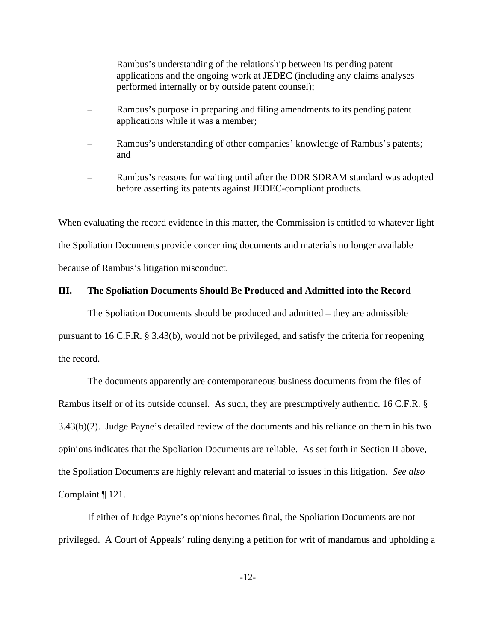- Rambus's understanding of the relationship between its pending patent applications and the ongoing work at JEDEC (including any claims analyses performed internally or by outside patent counsel);
- Rambus's purpose in preparing and filing amendments to its pending patent applications while it was a member;
- Rambus's understanding of other companies' knowledge of Rambus's patents; and
- Rambus's reasons for waiting until after the DDR SDRAM standard was adopted before asserting its patents against JEDEC-compliant products.

When evaluating the record evidence in this matter, the Commission is entitled to whatever light the Spoliation Documents provide concerning documents and materials no longer available because of Rambus's litigation misconduct.

#### **III. The Spoliation Documents Should Be Produced and Admitted into the Record**

The Spoliation Documents should be produced and admitted – they are admissible pursuant to 16 C.F.R. § 3.43(b), would not be privileged, and satisfy the criteria for reopening the record.

The documents apparently are contemporaneous business documents from the files of Rambus itself or of its outside counsel. As such, they are presumptively authentic. 16 C.F.R. § 3.43(b)(2). Judge Payne's detailed review of the documents and his reliance on them in his two opinions indicates that the Spoliation Documents are reliable. As set forth in Section II above, the Spoliation Documents are highly relevant and material to issues in this litigation. *See also* Complaint ¶ 121.

If either of Judge Payne's opinions becomes final, the Spoliation Documents are not privileged. A Court of Appeals' ruling denying a petition for writ of mandamus and upholding a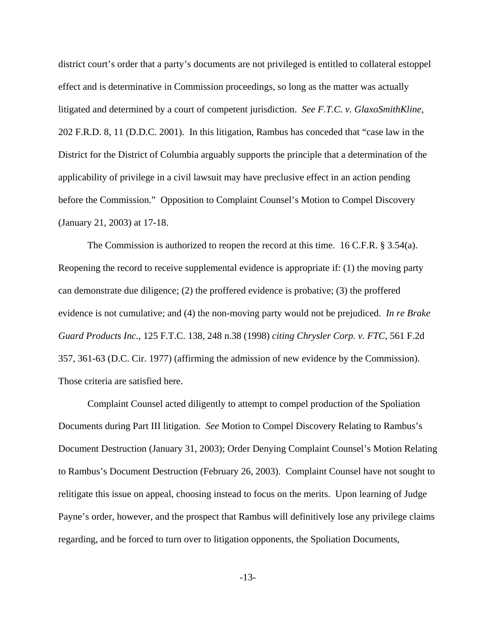district court's order that a party's documents are not privileged is entitled to collateral estoppel effect and is determinative in Commission proceedings, so long as the matter was actually litigated and determined by a court of competent jurisdiction. *See F.T.C. v. GlaxoSmithKline*, 202 F.R.D. 8, 11 (D.D.C. 2001). In this litigation, Rambus has conceded that "case law in the District for the District of Columbia arguably supports the principle that a determination of the applicability of privilege in a civil lawsuit may have preclusive effect in an action pending before the Commission." Opposition to Complaint Counsel's Motion to Compel Discovery (January 21, 2003) at 17-18.

The Commission is authorized to reopen the record at this time. 16 C.F.R. § 3.54(a). Reopening the record to receive supplemental evidence is appropriate if: (1) the moving party can demonstrate due diligence; (2) the proffered evidence is probative; (3) the proffered evidence is not cumulative; and (4) the non-moving party would not be prejudiced. *In re Brake Guard Products Inc.,* 125 F.T.C. 138, 248 n.38 (1998) *citing Chrysler Corp. v. FTC,* 561 F.2d 357, 361-63 (D.C. Cir. 1977) (affirming the admission of new evidence by the Commission). Those criteria are satisfied here.

Complaint Counsel acted diligently to attempt to compel production of the Spoliation Documents during Part III litigation. *See* Motion to Compel Discovery Relating to Rambus's Document Destruction (January 31, 2003); Order Denying Complaint Counsel's Motion Relating to Rambus's Document Destruction (February 26, 2003). Complaint Counsel have not sought to relitigate this issue on appeal, choosing instead to focus on the merits. Upon learning of Judge Payne's order, however, and the prospect that Rambus will definitively lose any privilege claims regarding, and be forced to turn over to litigation opponents, the Spoliation Documents,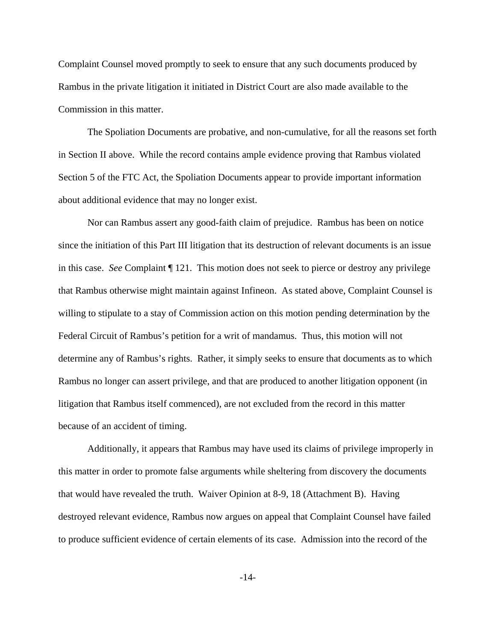Complaint Counsel moved promptly to seek to ensure that any such documents produced by Rambus in the private litigation it initiated in District Court are also made available to the Commission in this matter.

The Spoliation Documents are probative, and non-cumulative, for all the reasons set forth in Section II above. While the record contains ample evidence proving that Rambus violated Section 5 of the FTC Act, the Spoliation Documents appear to provide important information about additional evidence that may no longer exist.

Nor can Rambus assert any good-faith claim of prejudice. Rambus has been on notice since the initiation of this Part III litigation that its destruction of relevant documents is an issue in this case. *See* Complaint ¶ 121. This motion does not seek to pierce or destroy any privilege that Rambus otherwise might maintain against Infineon. As stated above, Complaint Counsel is willing to stipulate to a stay of Commission action on this motion pending determination by the Federal Circuit of Rambus's petition for a writ of mandamus. Thus, this motion will not determine any of Rambus's rights. Rather, it simply seeks to ensure that documents as to which Rambus no longer can assert privilege, and that are produced to another litigation opponent (in litigation that Rambus itself commenced), are not excluded from the record in this matter because of an accident of timing.

Additionally, it appears that Rambus may have used its claims of privilege improperly in this matter in order to promote false arguments while sheltering from discovery the documents that would have revealed the truth. Waiver Opinion at 8-9, 18 (Attachment B). Having destroyed relevant evidence, Rambus now argues on appeal that Complaint Counsel have failed to produce sufficient evidence of certain elements of its case. Admission into the record of the

-14-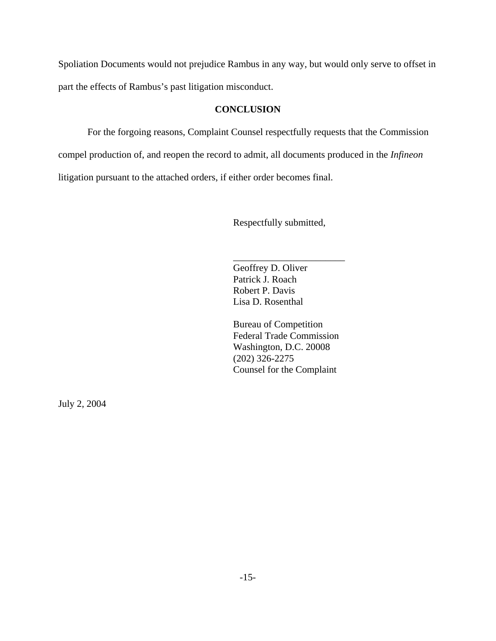Spoliation Documents would not prejudice Rambus in any way, but would only serve to offset in part the effects of Rambus's past litigation misconduct.

#### **CONCLUSION**

For the forgoing reasons, Complaint Counsel respectfully requests that the Commission compel production of, and reopen the record to admit, all documents produced in the *Infineon* litigation pursuant to the attached orders, if either order becomes final.

Respectfully submitted,

\_\_\_\_\_\_\_\_\_\_\_\_\_\_\_\_\_\_\_\_\_\_\_

Geoffrey D. Oliver Patrick J. Roach Robert P. Davis Lisa D. Rosenthal

Bureau of Competition Federal Trade Commission Washington, D.C. 20008 (202) 326-2275 Counsel for the Complaint

July 2, 2004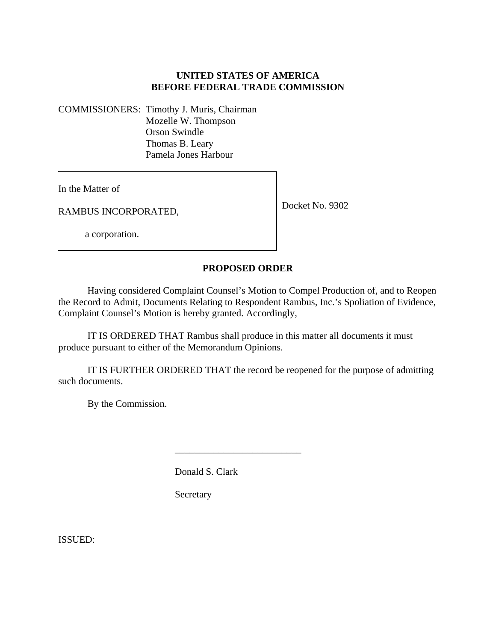# **UNITED STATES OF AMERICA BEFORE FEDERAL TRADE COMMISSION**

COMMISSIONERS: Timothy J. Muris, Chairman Mozelle W. Thompson Orson Swindle Thomas B. Leary Pamela Jones Harbour

In the Matter of

RAMBUS INCORPORATED,

Docket No. 9302

a corporation.

## **PROPOSED ORDER**

Having considered Complaint Counsel's Motion to Compel Production of, and to Reopen the Record to Admit, Documents Relating to Respondent Rambus, Inc.'s Spoliation of Evidence, Complaint Counsel's Motion is hereby granted. Accordingly,

IT IS ORDERED THAT Rambus shall produce in this matter all documents it must produce pursuant to either of the Memorandum Opinions.

IT IS FURTHER ORDERED THAT the record be reopened for the purpose of admitting such documents.

\_\_\_\_\_\_\_\_\_\_\_\_\_\_\_\_\_\_\_\_\_\_\_\_\_\_

By the Commission.

Donald S. Clark

Secretary

ISSUED: